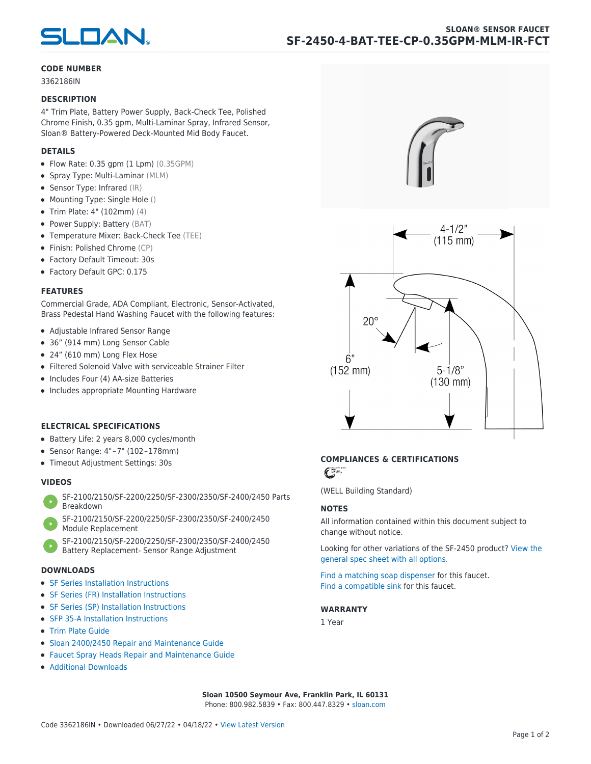

#### **CODE NUMBER**

3362186IN

#### **DESCRIPTION**

4" Trim Plate, Battery Power Supply, Back-Check Tee, Polished Chrome Finish, 0.35 gpm, Multi-Laminar Spray, Infrared Sensor, Sloan® Battery-Powered Deck-Mounted Mid Body Faucet.

#### **DETAILS**

- $\bullet$  Flow Rate: 0.35 gpm (1 Lpm) (0.35GPM)
- Spray Type: Multi-Laminar (MLM)
- Sensor Type: Infrared (IR)
- Mounting Type: Single Hole ()
- Trim Plate: 4" (102mm) (4)
- Power Supply: Battery (BAT)
- Temperature Mixer: Back-Check Tee (TEE)
- Finish: Polished Chrome (CP)
- Factory Default Timeout: 30s
- Factory Default GPC: 0.175

#### **FEATURES**

Commercial Grade, ADA Compliant, Electronic, Sensor-Activated, Brass Pedestal Hand Washing Faucet with the following features:

- Adjustable Infrared Sensor Range
- 36" (914 mm) Long Sensor Cable
- 24" (610 mm) Long Flex Hose
- Filtered Solenoid Valve with serviceable Strainer Filter
- Includes Four (4) AA-size Batteries
- Includes appropriate Mounting Hardware

#### **ELECTRICAL SPECIFICATIONS**

- Battery Life: 2 years 8,000 cycles/month
- Sensor Range: 4" – 7" (102 – 178mm)
- Timeout Adjustment Settings: 30s

#### **VIDEOS**

- [SF-2100/2150/SF-2200/2250/SF-2300/2350/SF-2400/2450 Parts](https://vimeo.com/307089947) [Breakdown](https://vimeo.com/307089947)
- [SF-2100/2150/SF-2200/2250/SF-2300/2350/SF-2400/2450](https://vimeo.com/307087494) [Module Replacement](https://vimeo.com/307087494)
- [SF-2100/2150/SF-2200/2250/SF-2300/2350/SF-2400/2450](https://vimeo.com/307085279) [Battery Replacement- Sensor Range Adjustment](https://vimeo.com/307085279)

#### **DOWNLOADS**

- [SF Series Installation Instructions](https://en.sloan.com/sites/default/files/2018-02/II0816496Rev5_0.pdf)
- [SF Series \(FR\) Installation Instructions](https://en.sloan.com/sites/default/files/2015-12/0816563-fr.pdf)
- [SF Series \(SP\) Installation Instructions](https://en.sloan.com/sites/default/files/2022-03/0816568SP_Rev2.pdf)
- [SFP 35-A Installation Instructions](https://en.sloan.com/sites/default/files/2015-12/0816817.pdf)
- [Trim Plate Guide](https://en.sloan.com/sites/default/files/2020-03/Trim_PlatesAllFaucets.pdf)
- [Sloan 2400/2450 Repair and Maintenance Guide](https://en.sloan.com/sites/default/files/2022-06/Sloan-SF-2400-2450.pdf)
- [Faucet Spray Heads Repair and Maintenance Guide](https://en.sloan.com/sites/default/files/2020-03/Optima-OptimaPlusFaucet_Spray_Heads.pdf)
- [Additional Downloads](https://en.sloan.com/commercial-bathroom-products/faucets/sloan/sf-2450)





## **COMPLIANCES & CERTIFICATIONS**

C

(WELL Building Standard)

#### **NOTES**

All information contained within this document subject to change without notice.

[Looking for other variations of the SF-2450 product? View the](https://en.sloan.com/general-spec/441) [general spec sheet with all options.](https://en.sloan.com/general-spec/441)

[Find a matching soap dispenser](https://en.sloan.com/commercial-bathroom-products/soap-dispensers) for this faucet. [Find a compatible sink](https://en.sloan.com/commercial-bathroom-products/sinks) for this faucet.

#### **WARRANTY**

1 Year

**Sloan 10500 Seymour Ave, Franklin Park, IL 60131** Phone: 800.982.5839 • Fax: 800.447.8329 • [sloan.com](https://www.sloan.com)